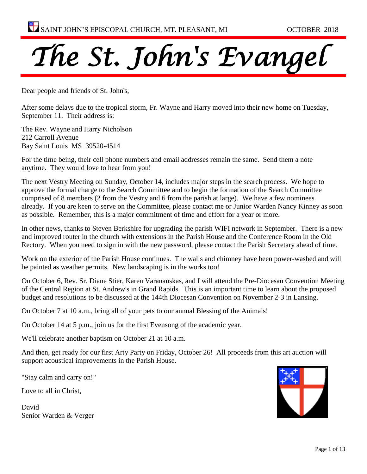

Dear people and friends of St. John's,

After some delays due to the tropical storm, Fr. Wayne and Harry moved into their new home on Tuesday, September 11. Their address is:

The Rev. Wayne and Harry Nicholson [212 Carroll Avenue](https://maps.google.com/?q=212+Carroll+Avenue+%0D%0A+Bay+Saint+Louis++MS++39520&entry=gmail&source=g) [Bay Saint Louis MS 39520-](https://maps.google.com/?q=212+Carroll+Avenue+%0D%0A+Bay+Saint+Louis++MS++39520&entry=gmail&source=g)4514

For the time being, their cell phone numbers and email addresses remain the same. Send them a note anytime. They would love to hear from you!

The next Vestry Meeting on Sunday, October 14, includes major steps in the search process. We hope to approve the formal charge to the Search Committee and to begin the formation of the Search Committee comprised of 8 members (2 from the Vestry and 6 from the parish at large). We have a few nominees already. If you are keen to serve on the Committee, please contact me or Junior Warden Nancy Kinney as soon as possible. Remember, this is a major commitment of time and effort for a year or more.

In other news, thanks to Steven Berkshire for upgrading the parish WIFI network in September. There is a new and improved router in the church with extensions in the Parish House and the Conference Room in the Old Rectory. When you need to sign in with the new password, please contact the Parish Secretary ahead of time.

Work on the exterior of the Parish House continues. The walls and chimney have been power-washed and will be painted as weather permits. New landscaping is in the works too!

On October 6, Rev. Sr. Diane Stier, Karen Varanauskas, and I will attend the Pre-Diocesan Convention Meeting of the Central Region at St. Andrew's in Grand Rapids. This is an important time to learn about the proposed budget and resolutions to be discussed at the 144th Diocesan Convention on November 2-3 in Lansing.

On October 7 at 10 a.m., bring all of your pets to our annual Blessing of the Animals!

On October 14 at 5 p.m., join us for the first Evensong of the academic year.

We'll celebrate another baptism on October 21 at 10 a.m.

And then, get ready for our first Arty Party on Friday, October 26! All proceeds from this art auction will support acoustical improvements in the Parish House.

"Stay calm and carry on!"

Love to all in Christ,

David Senior Warden & Verger

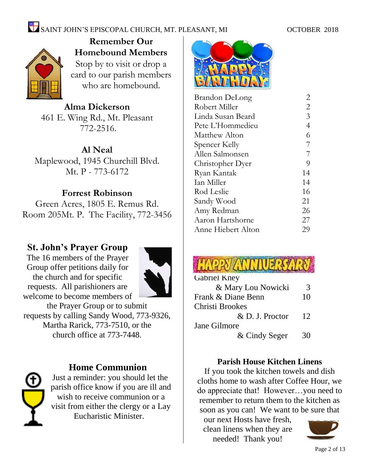

**Remember Our Homebound Members** Stop by to visit or drop a card to our parish members who are homebound.

**Alma Dickerson** 461 E. Wing Rd., Mt. Pleasant 772-2516.

**Al Neal** Maplewood, 1945 Churchill Blvd. Mt. P - 773-6172

### **Forrest Robinson**

Green Acres, 1805 E. Remus Rd. Room 205Mt. P. The Facility, 772-3456

### **St. John's Prayer Group**

The 16 members of the Prayer Group offer petitions daily for the church and for specific requests. All parishioners are welcome to become members of



the Prayer Group or to submit requests by calling Sandy Wood, 773-9326, Martha Rarick, 773-7510, or the church office at 773-7448.



### **Home Communion**

Just a reminder: you should let the parish office know if you are ill and wish to receive communion or a visit from either the clergy or a Lay Eucharistic Minister.



| Brandon DeLong     | 2              |
|--------------------|----------------|
| Robert Miller      | $\overline{2}$ |
| Linda Susan Beard  | 3              |
| Pete L'Hommedieu   | $\overline{4}$ |
| Matthew Alton      | 6              |
| Spencer Kelly      | $\overline{7}$ |
| Allen Salmonsen    | $\overline{7}$ |
| Christopher Dyer   | 9              |
| Ryan Kantak        | 14             |
| Ian Miller         | 14             |
| Rod Leslie         | 16             |
| Sandy Wood         | 21             |
| Amy Redman         | 26             |
| Aaron Hartshorne   | 27             |
| Anne Hiebert Alton | 29             |
|                    |                |

| <b>Gabriel Kney</b> |    |
|---------------------|----|
| & Mary Lou Nowicki  | 3  |
| Frank & Diane Benn  | 10 |
| Christi Brookes     |    |
| & D. J. Proctor     | 12 |
| Jane Gilmore        |    |
| & Cindy Seger       | 30 |

### **Parish House Kitchen Linens**

If you took the kitchen towels and dish cloths home to wash after Coffee Hour, we do appreciate that! However…you need to remember to return them to the kitchen as soon as you can! We want to be sure that

our next Hosts have fresh, clean linens when they are needed! Thank you!

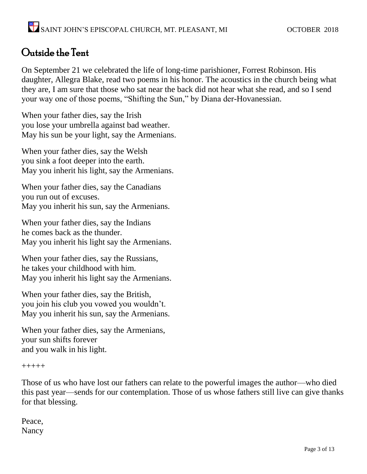### Outside the Tent

On September 21 we celebrated the life of long-time parishioner, Forrest Robinson. His daughter, Allegra Blake, read two poems in his honor. The acoustics in the church being what they are, I am sure that those who sat near the back did not hear what she read, and so I send your way one of those poems, "Shifting the Sun," by Diana der-Hovanessian.

When your father dies, say the Irish you lose your umbrella against bad weather. May his sun be your light, say the Armenians.

When your father dies, say the Welsh you sink a foot deeper into the earth. May you inherit his light, say the Armenians.

When your father dies, say the Canadians you run out of excuses. May you inherit his sun, say the Armenians.

When your father dies, say the Indians he comes back as the thunder. May you inherit his light say the Armenians.

When your father dies, say the Russians, he takes your childhood with him. May you inherit his light say the Armenians.

When your father dies, say the British, you join his club you vowed you wouldn't. May you inherit his sun, say the Armenians.

When your father dies, say the Armenians, your sun shifts forever and you walk in his light.

+++++

Those of us who have lost our fathers can relate to the powerful images the author—who died this past year—sends for our contemplation. Those of us whose fathers still live can give thanks for that blessing.

Peace, Nancy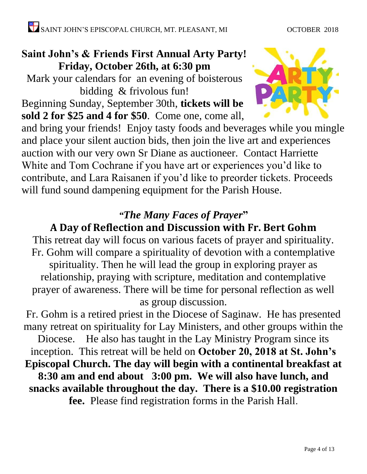### **Saint John's & Friends First Annual Arty Party! Friday, October 26th, at 6:30 pm**

Mark your calendars for an evening of boisterous bidding & frivolous fun! Beginning Sunday, September 30th, **tickets will be sold 2 for \$25 and 4 for \$50**. Come one, come all,



and bring your friends! Enjoy tasty foods and beverages while you mingle and place your silent auction bids, then join the live art and experiences auction with our very own Sr Diane as auctioneer. Contact Harriette White and Tom Cochrane if you have art or experiences you'd like to contribute, and Lara Raisanen if you'd like to preorder tickets. Proceeds will fund sound dampening equipment for the Parish House.

### *"The Many Faces of Prayer***"**

### **A Day of Reflection and Discussion with Fr. Bert Gohm**

This retreat day will focus on various facets of prayer and spirituality. Fr. Gohm will compare a spirituality of devotion with a contemplative spirituality. Then he will lead the group in exploring prayer as relationship, praying with scripture, meditation and contemplative prayer of awareness. There will be time for personal reflection as well as group discussion.

Fr. Gohm is a retired priest in the Diocese of Saginaw. He has presented many retreat on spirituality for Lay Ministers, and other groups within the Diocese. He also has taught in the Lay Ministry Program since its

inception. This retreat will be held on **October 20, 2018 at St. John's Episcopal Church. The day will begin with a continental breakfast at 8:30 am and end about 3:00 pm. We will also have lunch, and** 

**snacks available throughout the day. There is a \$10.00 registration fee.** Please find registration forms in the Parish Hall.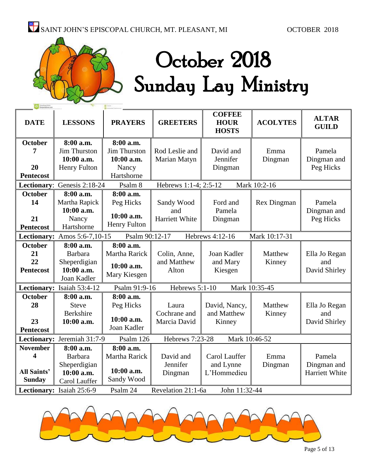# October 2018 Sunday Lay Ministry

| <b>DATE</b>                                                 | <b>LESSONS</b>                                                             | <b>PRAYERS</b>                                              | <b>GREETERS</b>                            | <b>COFFEE</b><br><b>HOUR</b><br><b>HOSTS</b> | <b>ACOLYTES</b>    | <b>ALTAR</b><br><b>GUILD</b>            |
|-------------------------------------------------------------|----------------------------------------------------------------------------|-------------------------------------------------------------|--------------------------------------------|----------------------------------------------|--------------------|-----------------------------------------|
| <b>October</b><br>7                                         | 8:00 a.m.<br>Jim Thurston                                                  | 8:00 a.m.<br><b>Jim Thurston</b>                            | Rod Leslie and                             | David and                                    | Emma               | Pamela                                  |
| 20<br><b>Pentecost</b>                                      | 10:00 a.m.<br><b>Henry Fulton</b>                                          | 10:00 a.m.<br>Nancy<br>Hartshorne                           | Marian Matyn                               | Jennifer<br>Dingman                          | Dingman            | Dingman and<br>Peg Hicks                |
|                                                             | Lectionary: Genesis 2:18-24                                                | Psalm 8                                                     | Hebrews 1:1-4; 2:5-12                      |                                              | Mark 10:2-16       |                                         |
| <b>October</b><br>14<br>21<br><b>Pentecost</b>              | 8:00 a.m.<br>Martha Rapick<br>10:00 a.m.<br>Nancy<br>Hartshorne            | 8:00 a.m.<br>Peg Hicks<br>10:00 a.m.<br><b>Henry Fulton</b> | Sandy Wood<br>and<br><b>Harriett White</b> | Ford and<br>Pamela<br>Dingman                | <b>Rex Dingman</b> | Pamela<br>Dingman and<br>Peg Hicks      |
|                                                             | Lectionary: Amos $5:6-7,10-15$                                             | Psalm 90:12-17                                              |                                            | Hebrews 4:12-16                              | Mark 10:17-31      |                                         |
| <b>October</b><br>21<br>22<br><b>Pentecost</b>              | 8:00 a.m.<br>Barbara<br>Sheperdigian<br>10:00 a.m.<br>Joan Kadler          | 8:00 a.m.<br>Martha Rarick<br>10:00 a.m.<br>Mary Kiesgen    | Colin, Anne,<br>and Matthew<br>Alton       | Joan Kadler<br>and Mary<br>Kiesgen           | Matthew<br>Kinney  | Ella Jo Regan<br>and<br>David Shirley   |
|                                                             | Lectionary: Isaiah 53:4-12                                                 | Psalm 91:9-16                                               | Hebrews 5:1-10                             |                                              | Mark 10:35-45      |                                         |
| <b>October</b><br>28<br>23<br><b>Pentecost</b>              | 8:00 a.m.<br><b>Steve</b><br><b>Berkshire</b><br>10:00 a.m.                | 8:00 a.m.<br>Peg Hicks<br>10:00 a.m.<br>Joan Kadler         | Laura<br>Cochrane and<br>Marcia David      | David, Nancy,<br>and Matthew<br>Kinney       | Matthew<br>Kinney  | Ella Jo Regan<br>and<br>David Shirley   |
|                                                             | Lectionary: Jeremiah 31:7-9                                                | Psalm 126                                                   | Hebrews 7:23-28                            | Mark 10:46-52                                |                    |                                         |
| <b>November</b><br>4<br><b>All Saints'</b><br><b>Sunday</b> | 8:00 a.m.<br><b>Barbara</b><br>Sheperdigian<br>10:00 a.m.<br>Carol Lauffer | 8:00 a.m.<br>Martha Rarick<br>10:00 a.m.<br>Sandy Wood      | David and<br>Jennifer<br>Dingman           | Carol Lauffer<br>and Lynne<br>L'Hommedieu    | Emma<br>Dingman    | Pamela<br>Dingman and<br>Harriett White |
|                                                             | Lectionary: Isaiah 25:6-9                                                  | Psalm 24                                                    | Revelation 21:1-6a                         | John 11:32-44                                |                    |                                         |

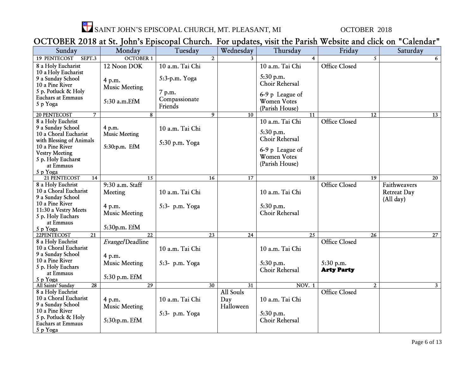

### OCTOBER 2018 at St. John's Episcopal Church. For updates, visit the Parish Website and click on "Calendar"

| Sunday                                                                                      | Monday                         | Tuesday                            |                 | Wednesday                            | Thursday                                                | Friday                         | Saturday                                        |
|---------------------------------------------------------------------------------------------|--------------------------------|------------------------------------|-----------------|--------------------------------------|---------------------------------------------------------|--------------------------------|-------------------------------------------------|
| <b>19 PENTECOST</b><br>SEPT.3                                                               | <b>OCTOBER 1</b>               |                                    | $\overline{2}$  | $\mathbf{3}$                         | $\overline{4}$                                          | $\overline{S}$                 | 6                                               |
| 8 a Holy Eucharist<br>10 a Holy Eucharist                                                   | 12 Noon DOK                    | 10 a.m. Tai Chi                    |                 |                                      | 10 a.m. Tai Chi                                         | <b>Office Closed</b>           |                                                 |
| 9 a Sunday School<br>10 a Pine River                                                        | 4 p.m.<br><b>Music Meeting</b> | 5:3-p.m. Yoga                      |                 |                                      | $5:30$ p.m.<br>Choir Rehersal                           |                                |                                                 |
| 5 p. Potluck & Holy<br><b>Euchars at Emmaus</b><br>5 p Yoga                                 | 5:30 a.m.EfM                   | 7 p.m.<br>Compassionate<br>Friends |                 |                                      | 6-9 p League of<br><b>Women Votes</b><br>(Parish House) |                                |                                                 |
| 20 PENTECOST<br>$\overline{7}$                                                              | 8                              |                                    | 9               | 10                                   | 11                                                      | $\overline{12}$                | $\overline{13}$                                 |
| 8 a Holy Euchrist<br>9 a Sunday School<br>10 a Choral Eucharist<br>with Blessing of Animals | 4 p.m.<br><b>Music Meeting</b> | 10 a.m. Tai Chi<br>5:30 p.m. Yoga  |                 |                                      | 10 a.m. Tai Chi<br>5:30 p.m.<br>Choir Rehersal          | <b>Office Closed</b>           |                                                 |
| 10 a Pine River<br><b>Vestry Meeting</b><br>5 p. Holy Eucharst<br>at Emmaus<br>5 p Yoga     | 5:30:p.m. EfM                  |                                    |                 |                                      | 6-9 p League of<br><b>Women Votes</b><br>(Parish House) |                                |                                                 |
| 21 PENTECOST<br>14                                                                          | $\overline{15}$                |                                    | $\overline{16}$ | $\overline{17}$                      | <b>18</b>                                               | $\overline{19}$                | $\overline{20}$                                 |
| 8 a Holy Euchrist<br>10 a Choral Eucharist<br>9 a Sunday School                             | 9:30 a.m. Staff<br>Meeting     | 10 a.m. Tai Chi                    |                 |                                      | 10 a.m. Tai Chi                                         | <b>Office Closed</b>           | Faithweavers<br><b>Retreat Day</b><br>(All day) |
| 10 a Pine River<br>11:30 a Vestry Meets<br>5 p. Holy Euchars                                | 4 p.m.<br><b>Music Meeting</b> | 5:3- p.m. Yoga                     |                 |                                      | 5:30 p.m.<br>Choir Rehersal                             |                                |                                                 |
| at Emmaus<br>5 p Yoga                                                                       | 5:30p.m. EfM                   |                                    |                 |                                      |                                                         |                                |                                                 |
| 22PENTECOST<br>$\overline{21}$                                                              | $\overline{22}$                |                                    | $\overline{23}$ | 24                                   | 25                                                      | 26                             | 27                                              |
| 8 a Holy Euchrist<br>10 a Choral Eucharist<br>9 a Sunday School                             | Evangel Deadline               | 10 a.m. Tai Chi                    |                 |                                      | 10 a.m. Tai Chi                                         | <b>Office Closed</b>           |                                                 |
| 10 a Pine River<br>5 p. Holy Euchars<br>at Emmaus                                           | 4 p.m.<br><b>Music Meeting</b> | 5:3- p.m. Yoga                     |                 |                                      | 5:30 p.m.<br>Choir Rehersal                             | 5:30 p.m.<br><b>Arty Party</b> |                                                 |
| 5 p Yoga                                                                                    | 5:30 p.m. EfM                  |                                    |                 |                                      |                                                         |                                |                                                 |
| All Saints' Sunday<br>$\overline{28}$                                                       | $\overline{29}$                |                                    | $\overline{30}$ | $\overline{31}$                      | <b>NOV. 1</b>                                           | $\overline{2}$                 | 3 <sup>1</sup>                                  |
| 8 a Holy Euchrist<br>10 a Choral Eucharist<br>9 a Sunday School<br>10 a Pine River          | 4 p.m.<br><b>Music Meeting</b> | 10 a.m. Tai Chi                    |                 | <b>All Souls</b><br>Day<br>Halloween | 10 a.m. Tai Chi                                         | <b>Office Closed</b>           |                                                 |
| 5 p. Potluck & Holy<br>Euchars at Emmaus<br>5 p Yoga                                        | 5:30:p.m. EfM                  | 5:3- p.m. Yoga                     |                 |                                      | 5:30 p.m.<br>Choir Rehersal                             |                                |                                                 |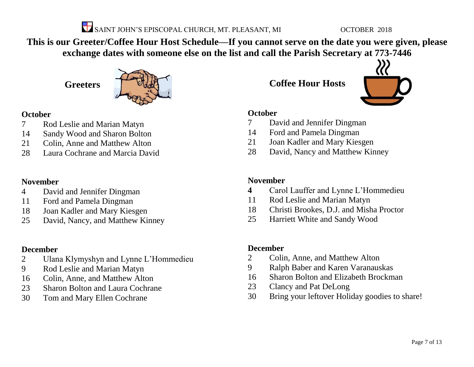

**This is our Greeter/Coffee Hour Host Schedule—If you cannot serve on the date you were given, please exchange dates with someone else on the list and call the Parish Secretary at 773-7446**

**Greeters**



### **October**

- Rod Leslie and Marian Matyn
- Sandy Wood and Sharon Bolton
- Colin, Anne and Matthew Alton
- Laura Cochrane and Marcia David

### **November**

- David and Jennifer Dingman
- Ford and Pamela Dingman
- Joan Kadler and Mary Kiesgen
- David, Nancy, and Matthew Kinney

### **December**

- Ulana Klymyshyn and Lynne L'Hommedieu
- Rod Leslie and Marian Matyn
- Colin, Anne, and Matthew Alton
- Sharon Bolton and Laura Cochrane
- Tom and Mary Ellen Cochrane

**Coffee Hour Hosts**



### **October**

- David and Jennifer Dingman
- Ford and Pamela Dingman
- Joan Kadler and Mary Kiesgen
- David, Nancy and Matthew Kinney

### **November**

- Carol Lauffer and Lynne L'Hommedieu
- Rod Leslie and Marian Matyn
- Christi Brookes, D.J. and Misha Proctor
- Harriett White and Sandy Wood

### **December**

- Colin, Anne, and Matthew Alton
- Ralph Baber and Karen Varanauskas
- Sharon Bolton and Elizabeth Brockman
- Clancy and Pat DeLong
- Bring your leftover Holiday goodies to share!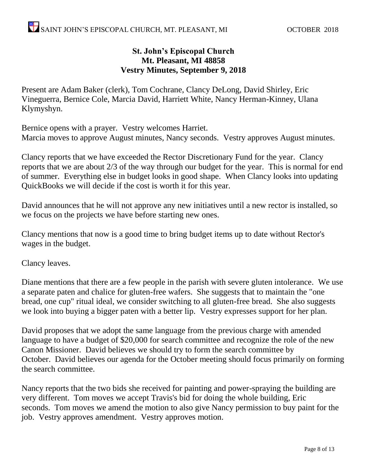### **St. John's Episcopal Church Mt. Pleasant, MI 48858 Vestry Minutes, September 9, 2018**

Present are Adam Baker (clerk), Tom Cochrane, Clancy DeLong, David Shirley, Eric Vineguerra, Bernice Cole, Marcia David, Harriett White, Nancy Herman-Kinney, Ulana Klymyshyn.

Bernice opens with a prayer. Vestry welcomes Harriet. Marcia moves to approve August minutes, Nancy seconds. Vestry approves August minutes.

Clancy reports that we have exceeded the Rector Discretionary Fund for the year. Clancy reports that we are about 2/3 of the way through our budget for the year. This is normal for end of summer. Everything else in budget looks in good shape. When Clancy looks into updating QuickBooks we will decide if the cost is worth it for this year.

David announces that he will not approve any new initiatives until a new rector is installed, so we focus on the projects we have before starting new ones.

Clancy mentions that now is a good time to bring budget items up to date without Rector's wages in the budget.

Clancy leaves.

Diane mentions that there are a few people in the parish with severe gluten intolerance. We use a separate paten and chalice for gluten-free wafers. She suggests that to maintain the "one bread, one cup" ritual ideal, we consider switching to all gluten-free bread. She also suggests we look into buying a bigger paten with a better lip. Vestry expresses support for her plan.

David proposes that we adopt the same language from the previous charge with amended language to have a budget of \$20,000 for search committee and recognize the role of the new Canon Missioner. David believes we should try to form the search committee by October. David believes our agenda for the October meeting should focus primarily on forming the search committee.

Nancy reports that the two bids she received for painting and power-spraying the building are very different. Tom moves we accept Travis's bid for doing the whole building, Eric seconds. Tom moves we amend the motion to also give Nancy permission to buy paint for the job. Vestry approves amendment. Vestry approves motion.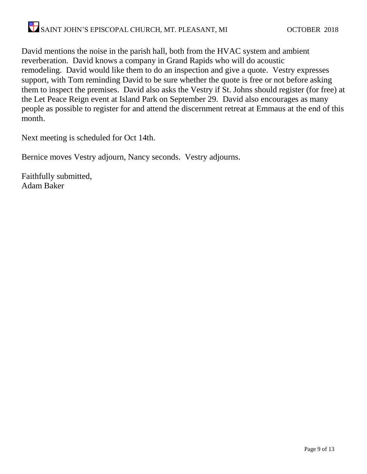David mentions the noise in the parish hall, both from the HVAC system and ambient reverberation. David knows a company in Grand Rapids who will do acoustic remodeling. David would like them to do an inspection and give a quote. Vestry expresses support, with Tom reminding David to be sure whether the quote is free or not before asking them to inspect the premises. David also asks the Vestry if St. Johns should register (for free) at the Let Peace Reign event at Island Park on September 29. David also encourages as many people as possible to register for and attend the discernment retreat at Emmaus at the end of this month.

Next meeting is scheduled for Oct 14th.

Bernice moves Vestry adjourn, Nancy seconds. Vestry adjourns.

Faithfully submitted, Adam Baker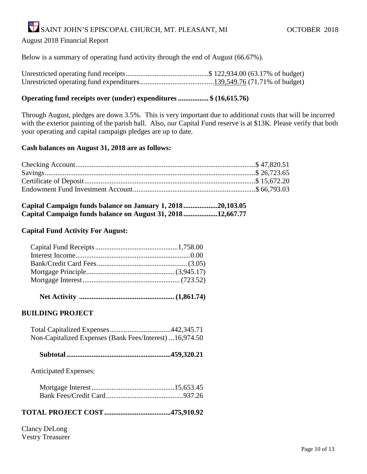#### August 2018 Financial Report

Below is a summary of operating fund activity through the end of August (66.67%).

#### **Operating fund receipts over (under) expenditures ................. \$ (16,615.76)**

Through August, pledges are down 3.5%. This is very important due to additional costs that will be incurred with the exterior painting of the parish hall. Also, our Capital Fund reserve is at \$13K. Please verify that both your operating and capital campaign pledges are up to date.

#### **Cash balances on August 31, 2018 are as follows:**

| Capital Campaign funds balance on January 1, 201820,103.05 |  |
|------------------------------------------------------------|--|
| Capital Campaign funds balance on August 31, 201812,667.77 |  |

#### **Capital Fund Activity For August:**

|--|--|--|--|--|

#### **BUILDING PROJECT**

| Non-Capitalized Expenses (Bank Fees/Interest) 16,974.50 |  |
|---------------------------------------------------------|--|

|--|--|

Anticipated Expenses:

### **TOTAL PROJECT COST.....................................475,910.92**

Clancy DeLong Vestry Treasurer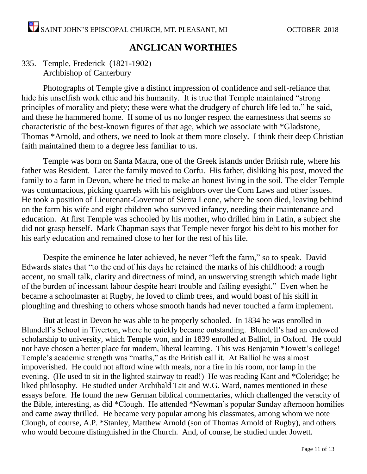### **ANGLICAN WORTHIES**

### 335. Temple, Frederick (1821-1902) Archbishop of Canterbury

Photographs of Temple give a distinct impression of confidence and self-reliance that hide his unselfish work ethic and his humanity. It is true that Temple maintained "strong principles of morality and piety; these were what the drudgery of church life led to," he said, and these he hammered home. If some of us no longer respect the earnestness that seems so characteristic of the best-known figures of that age, which we associate with \*Gladstone, Thomas \*Arnold, and others, we need to look at them more closely. I think their deep Christian faith maintained them to a degree less familiar to us.

Temple was born on Santa Maura, one of the Greek islands under British rule, where his father was Resident. Later the family moved to Corfu. His father, disliking his post, moved the family to a farm in Devon, where he tried to make an honest living in the soil. The elder Temple was contumacious, picking quarrels with his neighbors over the Corn Laws and other issues. He took a position of Lieutenant-Governor of Sierra Leone, where he soon died, leaving behind on the farm his wife and eight children who survived infancy, needing their maintenance and education. At first Temple was schooled by his mother, who drilled him in Latin, a subject she did not grasp herself. Mark Chapman says that Temple never forgot his debt to his mother for his early education and remained close to her for the rest of his life.

Despite the eminence he later achieved, he never "left the farm," so to speak. David Edwards states that "to the end of his days he retained the marks of his childhood: a rough accent, no small talk, clarity and directness of mind, an unswerving strength which made light of the burden of incessant labour despite heart trouble and failing eyesight." Even when he became a schoolmaster at Rugby, he loved to climb trees, and would boast of his skill in ploughing and threshing to others whose smooth hands had never touched a farm implement.

But at least in Devon he was able to be properly schooled. In 1834 he was enrolled in Blundell's School in Tiverton, where he quickly became outstanding. Blundell's had an endowed scholarship to university, which Temple won, and in 1839 enrolled at Balliol, in Oxford. He could not have chosen a better place for modern, liberal learning. This was Benjamin \*Jowett's college! Temple's academic strength was "maths," as the British call it. At Balliol he was almost impoverished. He could not afford wine with meals, nor a fire in his room, nor lamp in the evening. (He used to sit in the lighted stairway to read!) He was reading Kant and \*Coleridge; he liked philosophy. He studied under Archibald Tait and W.G. Ward, names mentioned in these essays before. He found the new German biblical commentaries, which challenged the veracity of the Bible, interesting, as did \*Clough. He attended \*Newman's popular Sunday afternoon homilies and came away thrilled. He became very popular among his classmates, among whom we note Clough, of course, A.P. \*Stanley, Matthew Arnold (son of Thomas Arnold of Rugby), and others who would become distinguished in the Church. And, of course, he studied under Jowett.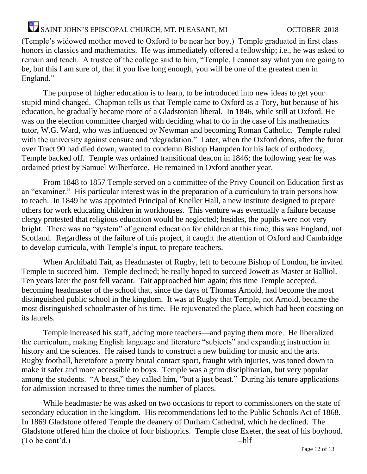(Temple's widowed mother moved to Oxford to be near her boy.) Temple graduated in first class honors in classics and mathematics. He was immediately offered a fellowship; i.e., he was asked to remain and teach. A trustee of the college said to him, "Temple, I cannot say what you are going to be, but this I am sure of, that if you live long enough, you will be one of the greatest men in England."

The purpose of higher education is to learn, to be introduced into new ideas to get your stupid mind changed. Chapman tells us that Temple came to Oxford as a Tory, but because of his education, he gradually became more of a Gladstonian liberal. In 1846, while still at Oxford. He was on the election committee charged with deciding what to do in the case of his mathematics tutor, W.G. Ward, who was influenced by Newman and becoming Roman Catholic. Temple ruled with the university against censure and "degradation." Later, when the Oxford dons, after the furor over Tract 90 had died down, wanted to condemn Bishop Hampden for his lack of orthodoxy, Temple backed off. Temple was ordained transitional deacon in 1846; the following year he was ordained priest by Samuel Wilberforce. He remained in Oxford another year.

From 1848 to 1857 Temple served on a committee of the Privy Council on Education first as an "examiner." His particular interest was in the preparation of a curriculum to train persons how to teach. In 1849 he was appointed Principal of Kneller Hall, a new institute designed to prepare others for work educating children in workhouses. This venture was eventually a failure because clergy protested that religious education would be neglected; besides, the pupils were not very bright. There was no "system" of general education for children at this time; this was England, not Scotland. Regardless of the failure of this project, it caught the attention of Oxford and Cambridge to develop curricula, with Temple's input, to prepare teachers.

When Archibald Tait, as Headmaster of Rugby, left to become Bishop of London, he invited Temple to succeed him. Temple declined; he really hoped to succeed Jowett as Master at Balliol. Ten years later the post fell vacant. Tait approached him again; this time Temple accepted, becoming headmaster of the school that, since the days of Thomas Arnold, had become the most distinguished public school in the kingdom. It was at Rugby that Temple, not Arnold, became the most distinguished schoolmaster of his time. He rejuvenated the place, which had been coasting on its laurels.

Temple increased his staff, adding more teachers—and paying them more. He liberalized the curriculum, making English language and literature "subjects" and expanding instruction in history and the sciences. He raised funds to construct a new building for music and the arts. Rugby football, heretofore a pretty brutal contact sport, fraught with injuries, was toned down to make it safer and more accessible to boys. Temple was a grim disciplinarian, but very popular among the students. "A beast," they called him, "but a just beast." During his tenure applications for admission increased to three times the number of places.

While headmaster he was asked on two occasions to report to commissioners on the state of secondary education in the kingdom. His recommendations led to the Public Schools Act of 1868. In 1869 Gladstone offered Temple the deanery of Durham Cathedral, which he declined. The Gladstone offered him the choice of four bishoprics. Temple close Exeter, the seat of his boyhood. (To be cont'd.) --hlf